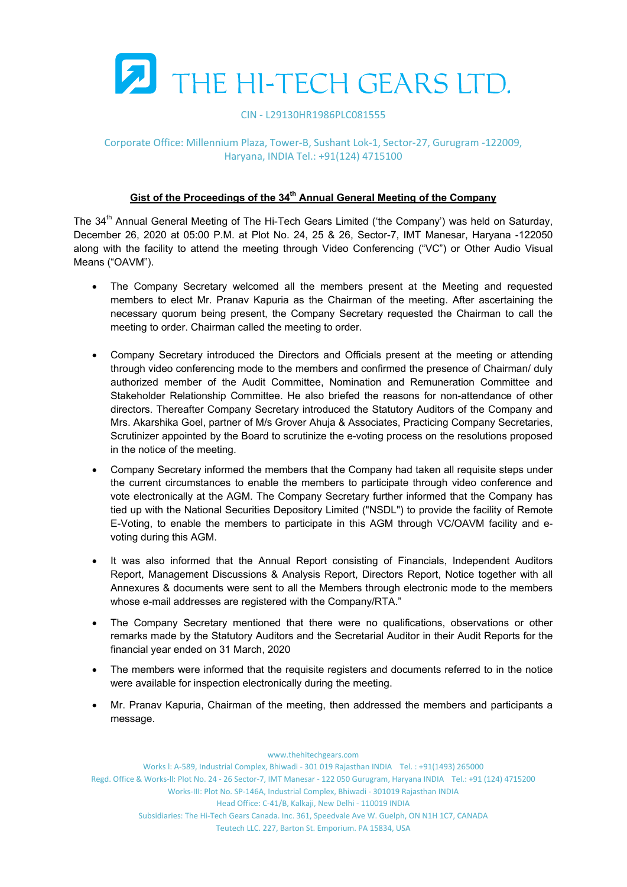

### CIN ‐ L29130HR1986PLC081555

## Corporate Office: Millennium Plaza, Tower‐B, Sushant Lok‐1, Sector‐27, Gurugram ‐122009, Haryana, INDIA Tel.: +91(124) 4715100

# Gist of the Proceedings of the 34<sup>th</sup> Annual General Meeting of the Company

The 34<sup>th</sup> Annual General Meeting of The Hi-Tech Gears Limited ('the Company') was held on Saturday, December 26, 2020 at 05:00 P.M. at Plot No. 24, 25 & 26, Sector-7, IMT Manesar, Haryana -122050 along with the facility to attend the meeting through Video Conferencing ("VC") or Other Audio Visual Means ("OAVM").

- The Company Secretary welcomed all the members present at the Meeting and requested members to elect Mr. Pranav Kapuria as the Chairman of the meeting. After ascertaining the necessary quorum being present, the Company Secretary requested the Chairman to call the meeting to order. Chairman called the meeting to order.
- Company Secretary introduced the Directors and Officials present at the meeting or attending through video conferencing mode to the members and confirmed the presence of Chairman/ duly authorized member of the Audit Committee, Nomination and Remuneration Committee and Stakeholder Relationship Committee. He also briefed the reasons for non-attendance of other directors. Thereafter Company Secretary introduced the Statutory Auditors of the Company and Mrs. Akarshika Goel, partner of M/s Grover Ahuja & Associates, Practicing Company Secretaries, Scrutinizer appointed by the Board to scrutinize the e-voting process on the resolutions proposed in the notice of the meeting.
- Company Secretary informed the members that the Company had taken all requisite steps under the current circumstances to enable the members to participate through video conference and vote electronically at the AGM. The Company Secretary further informed that the Company has tied up with the National Securities Depository Limited ("NSDL") to provide the facility of Remote E-Voting, to enable the members to participate in this AGM through VC/OAVM facility and evoting during this AGM.
- It was also informed that the Annual Report consisting of Financials, Independent Auditors Report, Management Discussions & Analysis Report, Directors Report, Notice together with all Annexures & documents were sent to all the Members through electronic mode to the members whose e-mail addresses are registered with the Company/RTA."
- The Company Secretary mentioned that there were no qualifications, observations or other remarks made by the Statutory Auditors and the Secretarial Auditor in their Audit Reports for the financial year ended on 31 March, 2020
- The members were informed that the requisite registers and documents referred to in the notice were available for inspection electronically during the meeting.
- Mr. Pranav Kapuria, Chairman of the meeting, then addressed the members and participants a message.

Works l: A‐589, Industrial Complex, Bhiwadi ‐ 301 019 Rajasthan INDIA Tel. : +91(1493) 265000 Regd. Office & Works‐ll: Plot No. 24 ‐ 26 Sector‐7, IMT Manesar ‐ 122 050 Gurugram, Haryana INDIA Tel.: +91 (124) 4715200 Works‐III: Plot No. SP‐146A, Industrial Complex, Bhiwadi ‐ 301019 Rajasthan INDIA Head Office: C‐41/B, Kalkaji, New Delhi ‐ 110019 INDIA Subsidiaries: The Hi‐Tech Gears Canada. Inc. 361, Speedvale Ave W. Guelph, ON N1H 1C7, CANADA Teutech LLC. 227, Barton St. Emporium. PA 15834, USA

#### www.thehitechgears.com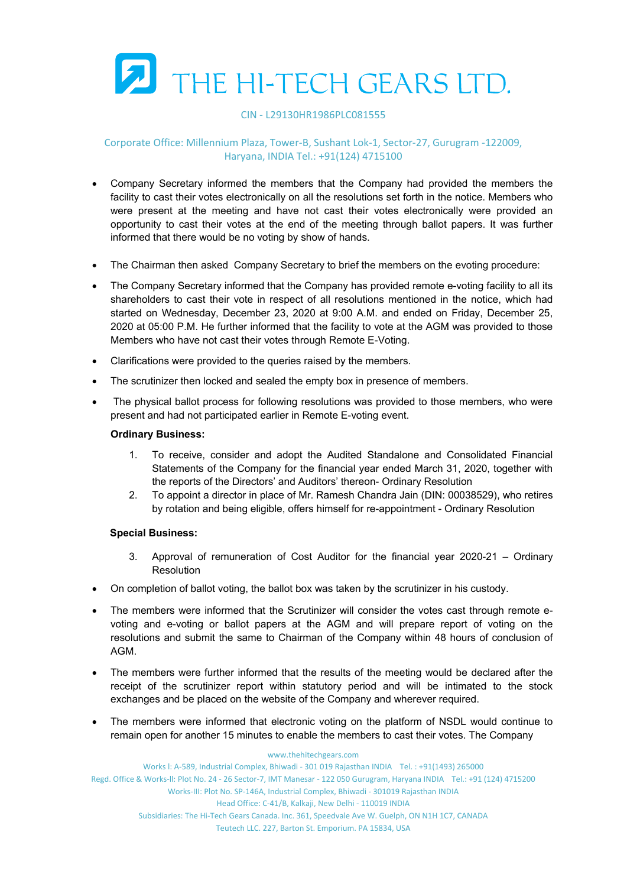

#### CIN ‐ L29130HR1986PLC081555

## Corporate Office: Millennium Plaza, Tower‐B, Sushant Lok‐1, Sector‐27, Gurugram ‐122009, Haryana, INDIA Tel.: +91(124) 4715100

- Company Secretary informed the members that the Company had provided the members the facility to cast their votes electronically on all the resolutions set forth in the notice. Members who were present at the meeting and have not cast their votes electronically were provided an opportunity to cast their votes at the end of the meeting through ballot papers. It was further informed that there would be no voting by show of hands.
- The Chairman then asked Company Secretary to brief the members on the evoting procedure:
- The Company Secretary informed that the Company has provided remote e-voting facility to all its shareholders to cast their vote in respect of all resolutions mentioned in the notice, which had started on Wednesday, December 23, 2020 at 9:00 A.M. and ended on Friday, December 25, 2020 at 05:00 P.M. He further informed that the facility to vote at the AGM was provided to those Members who have not cast their votes through Remote E-Voting.
- Clarifications were provided to the queries raised by the members.
- The scrutinizer then locked and sealed the empty box in presence of members.
- The physical ballot process for following resolutions was provided to those members, who were present and had not participated earlier in Remote E-voting event.

#### **Ordinary Business:**

- 1. To receive, consider and adopt the Audited Standalone and Consolidated Financial Statements of the Company for the financial year ended March 31, 2020, together with the reports of the Directors' and Auditors' thereon- Ordinary Resolution
- 2. To appoint a director in place of Mr. Ramesh Chandra Jain (DIN: 00038529), who retires by rotation and being eligible, offers himself for re-appointment - Ordinary Resolution

## **Special Business:**

- 3. Approval of remuneration of Cost Auditor for the financial year 2020-21 Ordinary **Resolution**
- On completion of ballot voting, the ballot box was taken by the scrutinizer in his custody.
- The members were informed that the Scrutinizer will consider the votes cast through remote evoting and e-voting or ballot papers at the AGM and will prepare report of voting on the resolutions and submit the same to Chairman of the Company within 48 hours of conclusion of AGM.
- The members were further informed that the results of the meeting would be declared after the receipt of the scrutinizer report within statutory period and will be intimated to the stock exchanges and be placed on the website of the Company and wherever required.
- The members were informed that electronic voting on the platform of NSDL would continue to remain open for another 15 minutes to enable the members to cast their votes. The Company

#### www.thehitechgears.com Works l: A‐589, Industrial Complex, Bhiwadi ‐ 301 019 Rajasthan INDIA Tel. : +91(1493) 265000 Regd. Office & Works‐ll: Plot No. 24 ‐ 26 Sector‐7, IMT Manesar ‐ 122 050 Gurugram, Haryana INDIA Tel.: +91 (124) 4715200 Works‐III: Plot No. SP‐146A, Industrial Complex, Bhiwadi ‐ 301019 Rajasthan INDIA Head Office: C‐41/B, Kalkaji, New Delhi ‐ 110019 INDIA Subsidiaries: The Hi‐Tech Gears Canada. Inc. 361, Speedvale Ave W. Guelph, ON N1H 1C7, CANADA Teutech LLC. 227, Barton St. Emporium. PA 15834, USA